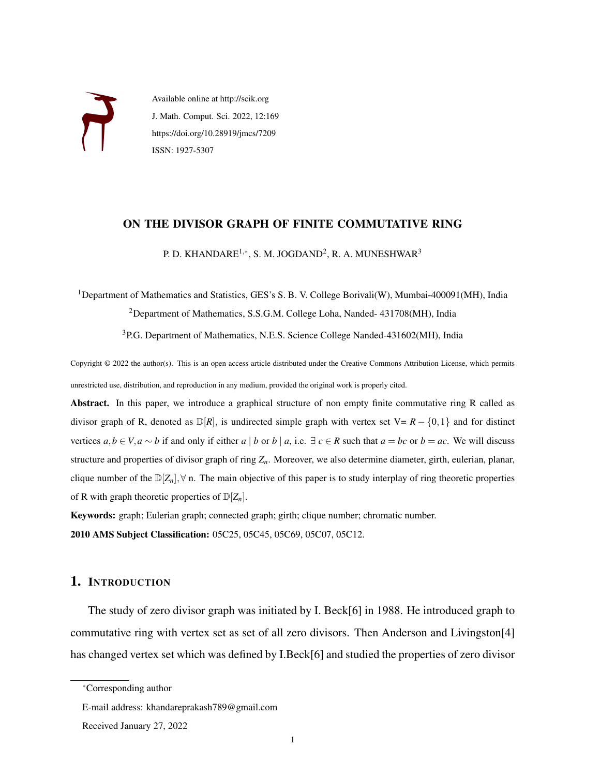

Available online at http://scik.org J. Math. Comput. Sci. 2022, 12:169 https://doi.org/10.28919/jmcs/7209 ISSN: 1927-5307

### ON THE DIVISOR GRAPH OF FINITE COMMUTATIVE RING

P. D. KHANDARE<sup>1,∗</sup>, S. M. JOGDAND<sup>2</sup>, R. A. MUNESHWAR<sup>3</sup>

<sup>1</sup>Department of Mathematics and Statistics, GES's S. B. V. College Borivali(W), Mumbai-400091(MH), India <sup>2</sup>Department of Mathematics, S.S.G.M. College Loha, Nanded- 431708(MH), India

<sup>3</sup>P.G. Department of Mathematics, N.E.S. Science College Nanded-431602(MH), India

Copyright © 2022 the author(s). This is an open access article distributed under the Creative Commons Attribution License, which permits unrestricted use, distribution, and reproduction in any medium, provided the original work is properly cited.

Abstract. In this paper, we introduce a graphical structure of non empty finite commutative ring R called as divisor graph of R, denoted as  $\mathbb{D}[R]$ , is undirected simple graph with vertex set V=  $R - \{0,1\}$  and for distinct vertices  $a, b \in V, a \sim b$  if and only if either  $a \mid b$  or  $b \mid a$ , i.e.  $\exists c \in R$  such that  $a = bc$  or  $b = ac$ . We will discuss structure and properties of divisor graph of ring *Zn*. Moreover, we also determine diameter, girth, eulerian, planar, clique number of the  $\mathbb{D}[Z_n], \forall$  n. The main objective of this paper is to study interplay of ring theoretic properties of R with graph theoretic properties of  $\mathbb{D}[Z_n]$ .

Keywords: graph; Eulerian graph; connected graph; girth; clique number; chromatic number. 2010 AMS Subject Classification: 05C25, 05C45, 05C69, 05C07, 05C12.

### 1. INTRODUCTION

The study of zero divisor graph was initiated by I. Beck[\[6\]](#page-14-0) in 1988. He introduced graph to commutative ring with vertex set as set of all zero divisors. Then Anderson and Livingston[\[4\]](#page-14-1) has changed vertex set which was defined by I.Beck[\[6\]](#page-14-0) and studied the properties of zero divisor

<sup>∗</sup>Corresponding author

E-mail address: khandareprakash789@gmail.com

Received January 27, 2022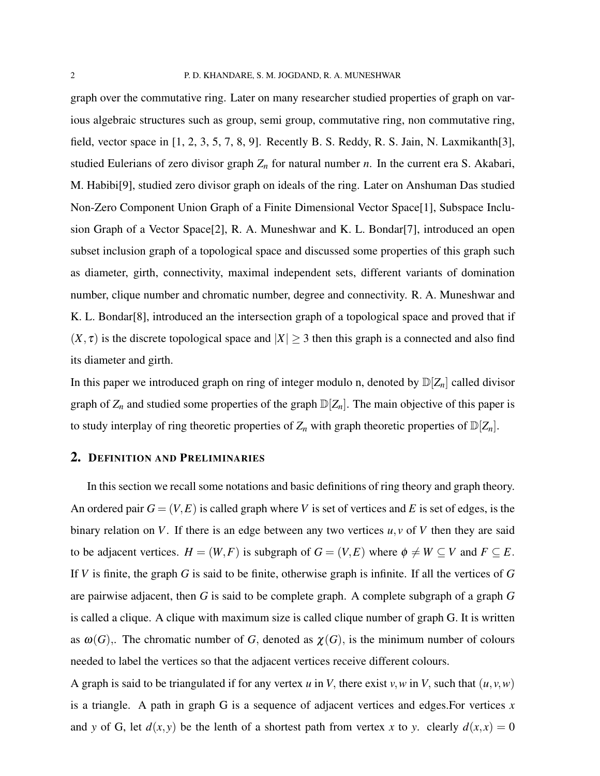graph over the commutative ring. Later on many researcher studied properties of graph on various algebraic structures such as group, semi group, commutative ring, non commutative ring, field, vector space in  $[1, 2, 3, 5, 7, 8, 9]$  $[1, 2, 3, 5, 7, 8, 9]$  $[1, 2, 3, 5, 7, 8, 9]$  $[1, 2, 3, 5, 7, 8, 9]$  $[1, 2, 3, 5, 7, 8, 9]$  $[1, 2, 3, 5, 7, 8, 9]$  $[1, 2, 3, 5, 7, 8, 9]$ . Recently B. S. Reddy, R. S. Jain, N. Laxmikanth $[3]$ , studied Eulerians of zero divisor graph *Z<sup>n</sup>* for natural number *n*. In the current era S. Akabari, M. Habibi[\[9\]](#page-14-8), studied zero divisor graph on ideals of the ring. Later on Anshuman Das studied Non-Zero Component Union Graph of a Finite Dimensional Vector Space[\[1\]](#page-14-2), Subspace Inclusion Graph of a Vector Space[\[2\]](#page-14-3), R. A. Muneshwar and K. L. Bondar[\[7\]](#page-14-6), introduced an open subset inclusion graph of a topological space and discussed some properties of this graph such as diameter, girth, connectivity, maximal independent sets, different variants of domination number, clique number and chromatic number, degree and connectivity. R. A. Muneshwar and K. L. Bondar[\[8\]](#page-14-7), introduced an the intersection graph of a topological space and proved that if  $(X, \tau)$  is the discrete topological space and  $|X| \geq 3$  then this graph is a connected and also find its diameter and girth.

In this paper we introduced graph on ring of integer modulo n, denoted by  $\mathbb{D}[Z_n]$  called divisor graph of  $Z_n$  and studied some properties of the graph  $\mathbb{D}[Z_n]$ . The main objective of this paper is to study interplay of ring theoretic properties of  $Z_n$  with graph theoretic properties of  $\mathbb{D}[Z_n]$ .

### 2. DEFINITION AND PRELIMINARIES

In this section we recall some notations and basic definitions of ring theory and graph theory. An ordered pair  $G = (V, E)$  is called graph where V is set of vertices and E is set of edges, is the binary relation on *V*. If there is an edge between any two vertices *u*, *v* of *V* then they are said to be adjacent vertices.  $H = (W, F)$  is subgraph of  $G = (V, E)$  where  $\phi \neq W \subseteq V$  and  $F \subseteq E$ . If *V* is finite, the graph *G* is said to be finite, otherwise graph is infinite. If all the vertices of *G* are pairwise adjacent, then *G* is said to be complete graph. A complete subgraph of a graph *G* is called a clique. A clique with maximum size is called clique number of graph G. It is written as  $\omega(G)$ . The chromatic number of *G*, denoted as  $\chi(G)$ , is the minimum number of colours needed to label the vertices so that the adjacent vertices receive different colours.

A graph is said to be triangulated if for any vertex  $u$  in  $V$ , there exist  $v, w$  in  $V$ , such that  $(u, v, w)$ is a triangle. A path in graph G is a sequence of adjacent vertices and edges.For vertices *x* and *y* of G, let  $d(x, y)$  be the lenth of a shortest path from vertex *x* to *y*. clearly  $d(x, x) = 0$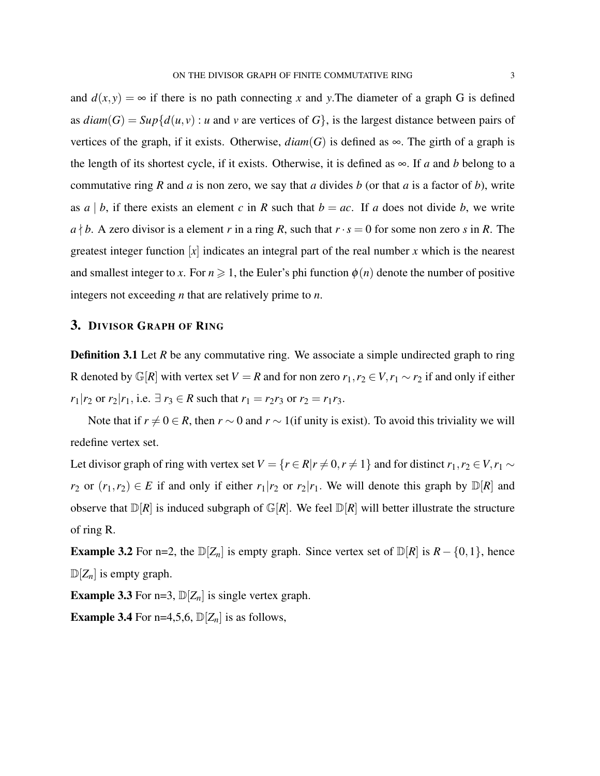and  $d(x, y) = \infty$  if there is no path connecting x and y. The diameter of a graph G is defined as  $diam(G) = Sup{d(u, v) : u$  and *v* are vertices of  $G$ , is the largest distance between pairs of vertices of the graph, if it exists. Otherwise,  $diam(G)$  is defined as  $\infty$ . The girth of a graph is the length of its shortest cycle, if it exists. Otherwise, it is defined as  $\infty$ . If *a* and *b* belong to a commutative ring *R* and *a* is non zero, we say that *a* divides *b* (or that *a* is a factor of *b*), write as  $a \mid b$ , if there exists an element  $c$  in  $R$  such that  $b = ac$ . If  $a$  does not divide  $b$ , we write  $a \nmid b$ . A zero divisor is a element *r* in a ring *R*, such that  $r \cdot s = 0$  for some non zero *s* in *R*. The greatest integer function [*x*] indicates an integral part of the real number *x* which is the nearest and smallest integer to *x*. For  $n \ge 1$ , the Euler's phi function  $\phi(n)$  denote the number of positive integers not exceeding *n* that are relatively prime to *n*.

### 3. DIVISOR GRAPH OF RING

**Definition 3.1** Let *R* be any commutative ring. We associate a simple undirected graph to ring R denoted by  $\mathbb{G}[R]$  with vertex set *V* = *R* and for non zero  $r_1, r_2 \in V, r_1 \sim r_2$  if and only if either *r*<sub>1</sub> $|r_2$  or  $r_2|r_1$ , i.e.  $\exists r_3 \in R$  such that  $r_1 = r_2r_3$  or  $r_2 = r_1r_3$ .

Note that if  $r \neq 0 \in R$ , then  $r \sim 0$  and  $r \sim 1$  (if unity is exist). To avoid this triviality we will redefine vertex set.

Let divisor graph of ring with vertex set  $V = \{r \in R | r \neq 0, r \neq 1\}$  and for distinct  $r_1, r_2 \in V, r_1 \sim$ *r*<sub>2</sub> or  $(r_1, r_2) \in E$  if and only if either  $r_1|r_2$  or  $r_2|r_1$ . We will denote this graph by  $\mathbb{D}[R]$  and observe that  $\mathbb{D}[R]$  is induced subgraph of  $\mathbb{G}[R]$ . We feel  $\mathbb{D}[R]$  will better illustrate the structure of ring R.

**Example 3.2** For n=2, the  $D[Z_n]$  is empty graph. Since vertex set of  $D[R]$  is  $R - \{0, 1\}$ , hence  $\mathbb{D}[Z_n]$  is empty graph.

**Example 3.3** For n=3,  $\mathbb{D}[Z_n]$  is single vertex graph.

**Example 3.4** For n=4,5,6,  $\mathbb{D}[Z_n]$  is as follows,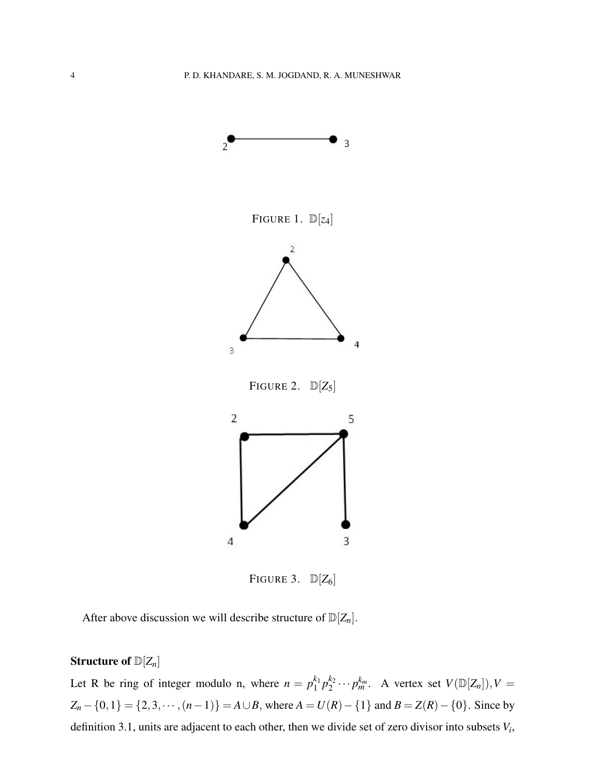

FIGURE 3.  $\mathbb{D}[Z_6]$ 

After above discussion we will describe structure of  $\mathbb{D}[Z_n]$ .

# Structure of D[*Zn*]

Let R be ring of integer modulo n, where  $n = p_1^{k_1}$  ${}_{1}^{k_1}p_2^{k_2}$  $\mathcal{L}_2^{k_2} \cdots \mathcal{p}_m^{k_m}$ . A vertex set  $V(\mathbb{D}[Z_n]), V =$ *Z*<sub>*n*</sub> − {0,1} = {2,3, ···, (*n*−1)} = *A*∪*B*, where *A* = *U*(*R*) − {1} and *B* = *Z*(*R*) − {0}. Since by definition 3.1, units are adjacent to each other, then we divide set of zero divisor into subsets *V<sup>i</sup>* ,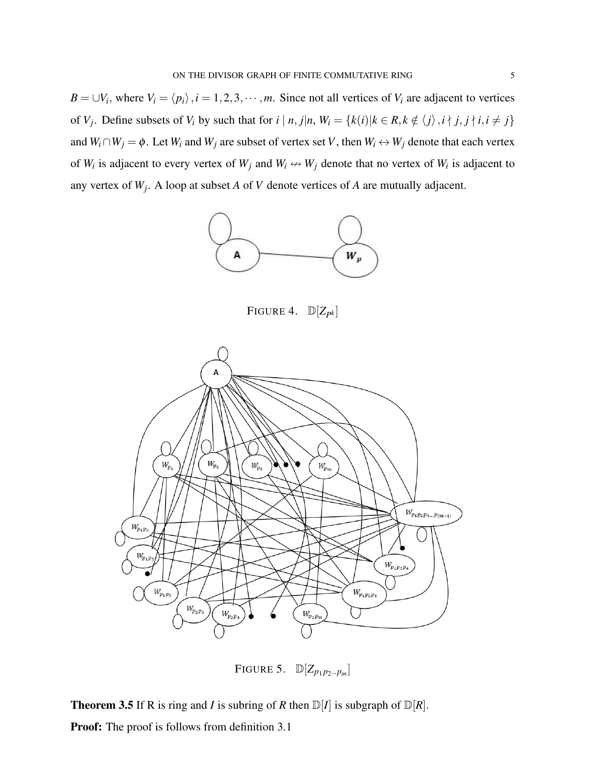*B* = ∪*V*<sub>*i*</sub>, where *V*<sub>*i*</sub> =  $\langle p_i \rangle$ , *i* = 1, 2, 3, ···, *m*. Since not all vertices of *V*<sub>*i*</sub> are adjacent to vertices of  $V_j$ . Define subsets of  $V_i$  by such that for  $i | n, j | n, W_i = \{k(i) | k \in R, k \notin \langle j \rangle, i \nmid j, j \nmid i, i \neq j\}$ and  $W_i \cap W_j = \phi$ . Let  $W_i$  and  $W_j$  are subset of vertex set *V*, then  $W_i \leftrightarrow W_j$  denote that each vertex of  $W_i$  is adjacent to every vertex of  $W_j$  and  $W_i \leftrightarrow W_j$  denote that no vertex of  $W_i$  is adjacent to any vertex of *W<sup>j</sup>* . A loop at subset *A* of *V* denote vertices of *A* are mutually adjacent.



FIGURE 4.  $\mathbb{D}[Z_{pk}]$ 



FIGURE 5.  $\mathbb{D}[Z_{p_1 p_2...p_m}]$ 

**Theorem 3.5** If R is ring and *I* is subring of *R* then  $D[I]$  is subgraph of  $D[R]$ . Proof: The proof is follows from definition 3.1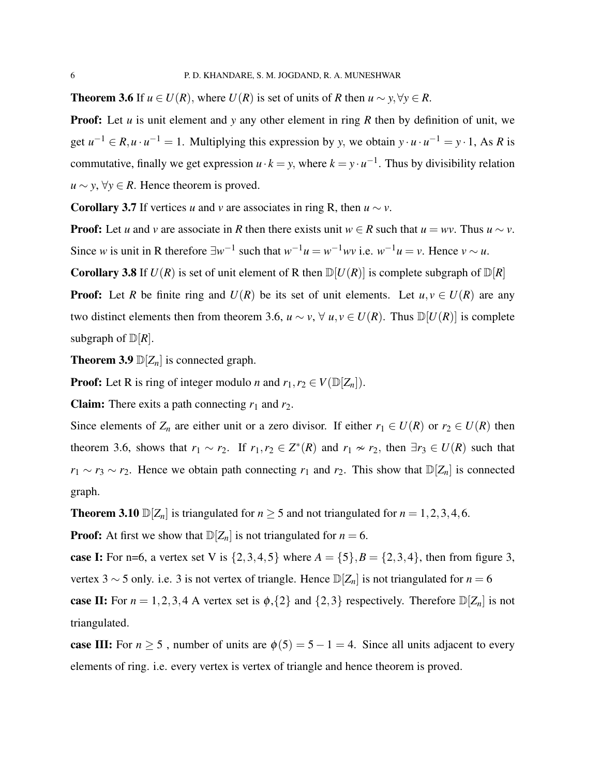**Theorem 3.6** If  $u \in U(R)$ , where  $U(R)$  is set of units of *R* then  $u \sim y, \forall y \in R$ .

**Proof:** Let *u* is unit element and *y* any other element in ring *R* then by definition of unit, we get  $u^{-1} \in R$ ,  $u \cdot u^{-1} = 1$ . Multiplying this expression by *y*, we obtain  $y \cdot u \cdot u^{-1} = y \cdot 1$ , As *R* is commutative, finally we get expression  $u \cdot k = y$ , where  $k = y \cdot u^{-1}$ . Thus by divisibility relation *u* ∼ *y*,  $\forall y \in R$ . Hence theorem is proved.

**Corollary 3.7** If vertices *u* and *v* are associates in ring R, then  $u \sim v$ .

**Proof:** Let *u* and *v* are associate in *R* then there exists unit  $w \in R$  such that  $u = wv$ . Thus  $u \sim v$ . Since *w* is unit in R therefore  $\exists w^{-1}$  such that  $w^{-1}u = w^{-1}wv$  i.e.  $w^{-1}u = v$ . Hence  $v \sim u$ .

**Corollary 3.8** If  $U(R)$  is set of unit element of R then  $D[U(R)]$  is complete subgraph of  $D[R]$ 

**Proof:** Let *R* be finite ring and  $U(R)$  be its set of unit elements. Let  $u, v \in U(R)$  are any two distinct elements then from theorem 3.6,  $u \sim v$ ,  $\forall u, v \in U(R)$ . Thus  $\mathbb{D}[U(R)]$  is complete subgraph of  $\mathbb{D}[R]$ .

**Theorem 3.9**  $\mathbb{D}[Z_n]$  is connected graph.

**Proof:** Let R is ring of integer modulo *n* and  $r_1, r_2 \in V(\mathbb{D}[Z_n])$ .

**Claim:** There exits a path connecting  $r_1$  and  $r_2$ .

Since elements of  $Z_n$  are either unit or a zero divisor. If either  $r_1 \in U(R)$  or  $r_2 \in U(R)$  then theorem 3.6, shows that  $r_1 \sim r_2$ . If  $r_1, r_2 \in Z^*(R)$  and  $r_1 \nsim r_2$ , then  $\exists r_3 \in U(R)$  such that *r*<sub>1</sub> ∼ *r*<sub>3</sub> ∼ *r*<sub>2</sub>. Hence we obtain path connecting *r*<sub>1</sub> and *r*<sub>2</sub>. This show that  $\mathbb{D}[Z_n]$  is connected graph.

**Theorem 3.10**  $\mathbb{D}[Z_n]$  is triangulated for  $n \ge 5$  and not triangulated for  $n = 1, 2, 3, 4, 6$ .

**Proof:** At first we show that  $D[Z_n]$  is not triangulated for  $n = 6$ .

**case I:** For n=6, a vertex set V is  $\{2,3,4,5\}$  where  $A = \{5\}, B = \{2,3,4\}$ , then from figure 3, vertex 3 ∼ 5 only. i.e. 3 is not vertex of triangle. Hence  $\mathbb{D}[Z_n]$  is not triangulated for *n* = 6

case II: For  $n = 1, 2, 3, 4$  A vertex set is  $\phi$ ,  $\{2\}$  and  $\{2, 3\}$  respectively. Therefore  $\mathbb{D}[Z_n]$  is not triangulated.

case III: For  $n \ge 5$ , number of units are  $\phi(5) = 5 - 1 = 4$ . Since all units adjacent to every elements of ring. i.e. every vertex is vertex of triangle and hence theorem is proved.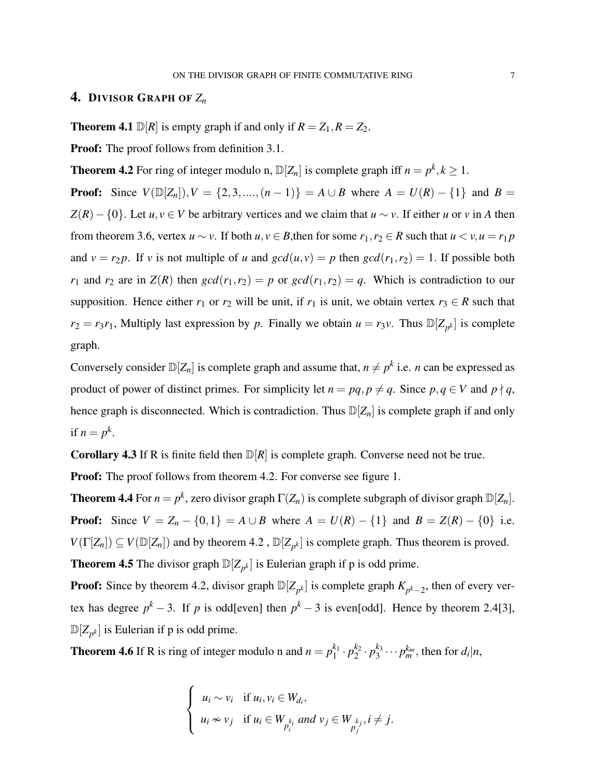## <span id="page-6-0"></span>4. DIVISOR GRAPH OF *Z<sup>n</sup>*

**Theorem 4.1**  $\mathbb{D}[R]$  is empty graph if and only if  $R = Z_1, R = Z_2$ .

**Proof:** The proof follows from definition 3.1.

**Theorem 4.2** For ring of integer modulo n,  $\mathbb{D}[Z_n]$  is complete graph iff  $n = p^k, k \ge 1$ .

**Proof:** Since  $V(\mathbb{D}[Z_n]), V = \{2, 3, ..., (n-1)\} = A \cup B$  where  $A = U(R) - \{1\}$  and  $B =$  $Z(R) - \{0\}$ . Let *u*, *v* ∈ *V* be arbitrary vertices and we claim that *u* ∼ *v*. If either *u* or *v* in *A* then from theorem 3.6, vertex  $u \sim v$ . If both  $u, v \in B$ , then for some  $r_1, r_2 \in R$  such that  $u \lt v, u = r_1 p$ and  $v = r_2 p$ . If *v* is not multiple of *u* and  $gcd(u, v) = p$  then  $gcd(r_1, r_2) = 1$ . If possible both *r*<sub>1</sub> and *r*<sub>2</sub> are in  $Z(R)$  then  $gcd(r_1, r_2) = p$  or  $gcd(r_1, r_2) = q$ . Which is contradiction to our supposition. Hence either  $r_1$  or  $r_2$  will be unit, if  $r_1$  is unit, we obtain vertex  $r_3 \in R$  such that  $r_2 = r_3 r_1$ , Multiply last expression by *p*. Finally we obtain  $u = r_3 v$ . Thus  $\mathbb{D}[Z_{p^k}]$  is complete graph.

Conversely consider  $\mathbb{D}[Z_n]$  is complete graph and assume that,  $n \neq p^k$  i.e. *n* can be expressed as product of power of distinct primes. For simplicity let  $n = pq, p \neq q$ . Since  $p, q \in V$  and  $p \nmid q$ , hence graph is disconnected. Which is contradiction. Thus  $\mathbb{D}[Z_n]$  is complete graph if and only if  $n = p^k$ .

**Corollary 4.3** If R is finite field then  $\mathbb{D}[R]$  is complete graph. Converse need not be true.

**Proof:** The proof follows from theorem 4.2. For converse see figure 1.

**Theorem 4.4** For  $n = p^k$ , zero divisor graph  $\Gamma(Z_n)$  is complete subgraph of divisor graph  $\mathbb{D}[Z_n]$ . **Proof:** Since  $V = Z_n - \{0, 1\} = A \cup B$  where  $A = U(R) - \{1\}$  and  $B = Z(R) - \{0\}$  i.e.  $V(\Gamma[Z_n]) \subseteq V(\mathbb{D}[Z_n])$  and by theorem 4.2,  $\mathbb{D}[Z_{p^k}]$  is complete graph. Thus theorem is proved. **Theorem 4.5** The divisor graph  $\mathbb{D}[Z_{p^k}]$  is Eulerian graph if p is odd prime.

**Proof:** Since by theorem 4.2, divisor graph  $\mathbb{D}[Z_{p^k}]$  is complete graph  $K_{p^k-2}$ , then of every vertex has degree  $p^k - 3$ . If *p* is odd[even] then  $p^k - 3$  is even[odd]. Hence by theorem 2.4[\[3\]](#page-14-4),  $\mathbb{D}[Z_{p^k}]$  is Eulerian if p is odd prime.

**Theorem 4.6** If R is ring of integer modulo n and  $n = p_1^{k_1}$  $i_1^{k_1} \cdot p_2^{k_2}$  $\frac{k_2}{2} \cdot p_3^{k_3}$  $\frac{k_3}{3} \cdots p_m^{k_m}$ , then for  $d_i | n$ ,

$$
\begin{cases} u_i \sim v_i & \text{if } u_i, v_i \in W_{d_i}, \\ u_i \approx v_j & \text{if } u_i \in W_{p_i} \text{ and } v_j \in W_{p_j} \text{, } i \neq j. \end{cases}
$$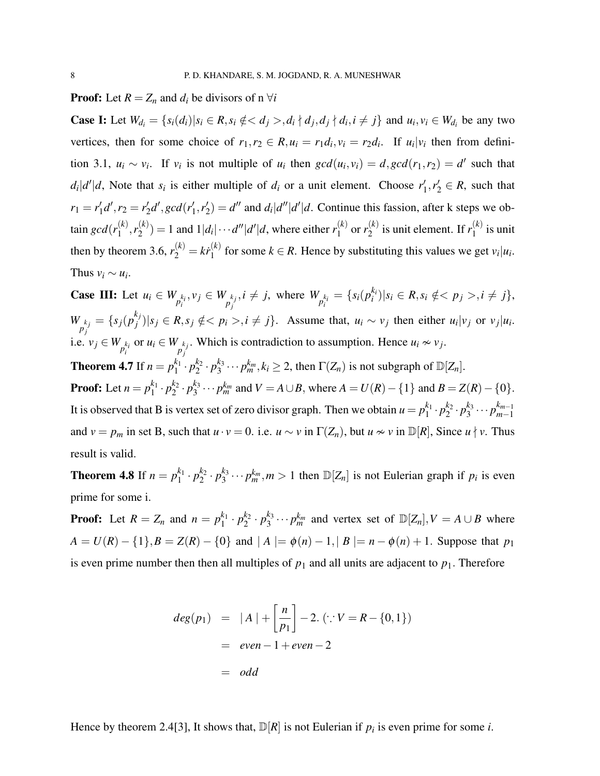#### **Proof:** Let  $R = Z_n$  and  $d_i$  be divisors of n  $\forall i$

**Case I:** Let  $W_{d_i} = \{ s_i(d_i) | s_i \in R, s_i \notin \{ d_j >, d_i \mid d_j, d_j \nmid d_i, i \neq j \}$  and  $u_i, v_i \in W_{d_i}$  be any two vertices, then for some choice of  $r_1, r_2 \in R$ ,  $u_i = r_1 d_i$ ,  $v_i = r_2 d_i$ . If  $u_i | v_i$  then from definition 3.1,  $u_i \sim v_i$ . If  $v_i$  is not multiple of  $u_i$  then  $gcd(u_i, v_i) = d$ ,  $gcd(r_1, r_2) = d'$  such that  $d_i|d'|d$ , Note that  $s_i$  is either multiple of  $d_i$  or a unit element. Choose  $r'_i$  $x'_1, r'_2 \in R$ , such that  $r_1 = r'_1$  $r'_1 d', r_2 = r'_2$  $\frac{d}{2}d$ <sup>*'*</sup>, gcd(r<sup>'</sup><sub>1</sub>  $r'_{1}, r'_{2}$  $\mathcal{L}_2'$  and  $d_i|d''|d'.$  Continue this fassion, after k steps we obtain  $gcd(r_1^{(k)})$  $\binom{k}{1}, r_2^{(k)}$  $2^{(k)}_{2}$  = 1 and  $1|d_i|\cdots d''|d'|d$ , where either  $r_1^{(k)}$  $r_1^{(k)}$  or  $r_2^{(k)}$  $\binom{k}{2}$  is unit element. If  $r_1^{(k)}$  $j_1^{(k)}$  is unit then by theorem 3.6,  $r_2^{(k)} = k \dot{r}_1^{(k)}$  $\sum_{i=1}^{N}$  for some  $k \in R$ . Hence by substituting this values we get  $v_i|u_i$ . Thus  $v_i \sim u_i$ .

**Case III:** Let  $u_i \in W_{p_i^{k_i}}$ ,  $v_j \in W_{p_j^{k_j}}$  $i \neq j$ , where  $W_{p_i^{k_i}} = \{s_i(p_i^{k_i})\}$  $\binom{k_i}{i}|s_i \in R, s_i \notin \leq p_j >, i \neq j\},\$  $W_{p_i^{k_j}} = \{s_j(p_j^{k_j})\}$ *i*, *e*, *v*<sub>*j*</sub>  $\in W$ <sub>*p*<sup>*k<sub>i</sub>*</sup></sub> or *u<sub>i</sub>*  $\in W$ <sub>*p*<sup>*k<sub>j</sub>*</sup>. Which is contradiction to assumption. Hence *u<sub>i</sub>*  $\infty$  *v<sub>j</sub>*.</sub>  $\mathcal{L}_j^{(v_j)}|s_j \in R, s_j \notin \leq p_i >, i \neq j\}.$  Assume that,  $u_i \sim v_j$  then either  $u_i|v_j$  or  $v_j|u_i$ . **Theorem 4.7** If  $n = p_1^{k_1}$  $i_1^{k_1} \cdot p_2^{k_2}$  $a_2^{k_2} \cdot p_3^{k_3}$  $\frac{k_3}{3} \cdots p_m^{k_m}, k_i \ge 2$ , then  $\Gamma(Z_n)$  is not subgraph of  $\mathbb{D}[Z_n]$ . **Proof:** Let  $n = p_1^{k_1}$  $i_1^{k_1} \cdot p_2^{k_2}$  $\frac{k_2}{2} \cdot p_3^{k_3}$  $\frac{k_3}{3} \cdots p_m^{k_m}$  and  $V = A \cup B$ , where  $A = U(R) - \{1\}$  and  $B = Z(R) - \{0\}$ . It is observed that B is vertex set of zero divisor graph. Then we obtain  $u = p_1^{k_1}$  $i_1^{k_1} \cdot p_2^{k_2}$  $a_2^{k_2} \cdot p_3^{k_3}$  $a_3^{k_3} \cdots p_{m-1}^{k_{m-1}}$ *m*−1 and  $v = p_m$  in set B, such that  $u \cdot v = 0$ . i.e.  $u \sim v$  in  $\Gamma(Z_n)$ , but  $u \sim v$  in  $\mathbb{D}[R]$ , Since  $u \nmid v$ . Thus result is valid.

**Theorem 4.8** If  $n = p_1^{k_1}$  $i_1^{k_1} \cdot p_2^{k_2}$  $\frac{k_2}{2} \cdot p_3^{k_3}$  $\frac{k_3}{3} \cdots p_m^{k_m}, m > 1$  then  $\mathbb{D}[Z_n]$  is not Eulerian graph if  $p_i$  is even prime for some i.

**Proof:** Let  $R = Z_n$  and  $n = p_1^{k_1}$  $i_1^{k_1} \cdot p_2^{k_2}$  $\frac{k_2}{2} \cdot p_3^{k_3}$  $\frac{k_3}{3} \cdots p_m^{k_m}$  and vertex set of  $\mathbb{D}[Z_n], V = A \cup B$  where  $A = U(R) - \{1\}, B = Z(R) - \{0\}$  and  $|A| = \phi(n) - 1, |B| = n - \phi(n) + 1$ . Suppose that  $p_1$ is even prime number then then all multiples of  $p_1$  and all units are adjacent to  $p_1$ . Therefore

$$
deg(p_1) = |A| + \left[\frac{n}{p_1}\right] - 2. \ (\because V = R - \{0, 1\})
$$
  
= *even* - 1 + *even* - 2  
= *odd*

Hence by theorem 2.4[\[3\]](#page-14-4), It shows that,  $\mathbb{D}[R]$  is not Eulerian if  $p_i$  is even prime for some *i*.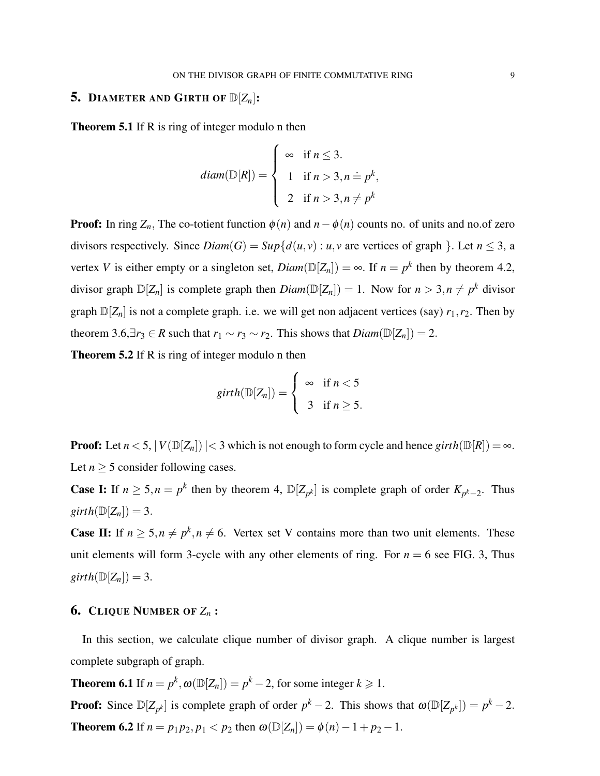## 5. DIAMETER AND GIRTH OF  $\mathbb{D}[Z_n]$ :

**Theorem 5.1** If R is ring of integer modulo n then

$$
diam(\mathbb{D}[R]) = \begin{cases} \infty & \text{if } n \leq 3. \\ 1 & \text{if } n > 3, n = p^k, \\ 2 & \text{if } n > 3, n \neq p^k \end{cases}
$$

**Proof:** In ring  $Z_n$ , The co-totient function  $\phi(n)$  and  $n - \phi(n)$  counts no. of units and no.of zero divisors respectively. Since  $Diam(G) = Sup{d(u, v) : u, v}$  are vertices of graph }. Let  $n \leq 3$ , a vertex *V* is either empty or a singleton set,  $Diam(\mathbb{D}[Z_n]) = \infty$ . If  $n = p^k$  then by theorem 4.2, divisor graph  $\mathbb{D}[Z_n]$  is complete graph then  $Diam(\mathbb{D}[Z_n]) = 1$ . Now for  $n > 3, n \neq p^k$  divisor graph  $\mathbb{D}[Z_n]$  is not a complete graph. i.e. we will get non adjacent vertices (say)  $r_1, r_2$ . Then by theorem 3.6, $\exists r_3 \in R$  such that  $r_1 \sim r_3 \sim r_2$ . This shows that  $Diam(\mathbb{D}[Z_n]) = 2$ .

Theorem 5.2 If R is ring of integer modulo n then

$$
girth(\mathbb{D}[Z_n]) = \begin{cases} \infty & \text{if } n < 5 \\ 3 & \text{if } n \geq 5. \end{cases}
$$

**Proof:** Let  $n < 5$ ,  $|V(\mathbb{D}[Z_n])| < 3$  which is not enough to form cycle and hence  $girth(\mathbb{D}[R]) = \infty$ . Let  $n \geq 5$  consider following cases.

**Case I:** If  $n \ge 5, n = p^k$  then by theorem [4,](#page-6-0)  $\mathbb{D}[Z_{p^k}]$  is complete graph of order  $K_{p^k-2}$ . Thus  $girth(\mathbb{D}[Z_n])=3.$ 

**Case II:** If  $n \geq 5, n \neq p^k, n \neq 6$ . Vertex set V contains more than two unit elements. These unit elements will form 3-cycle with any other elements of ring. For  $n = 6$  see FIG. 3, Thus  $girth(\mathbb{D}[Z_n])=3.$ 

## 6. CLIQUE NUMBER OF *Z<sup>n</sup>* :

In this section, we calculate clique number of divisor graph. A clique number is largest complete subgraph of graph.

**Theorem 6.1** If  $n = p^k$ ,  $\omega(\mathbb{D}[Z_n]) = p^k - 2$ , for some integer  $k \ge 1$ .

**Proof:** Since  $\mathbb{D}[Z_{p^k}]$  is complete graph of order  $p^k - 2$ . This shows that  $\omega(\mathbb{D}[Z_{p^k}]) = p^k - 2$ . **Theorem 6.2** If  $n = p_1 p_2, p_1 < p_2$  then  $\omega(\mathbb{D}[Z_n]) = \phi(n) - 1 + p_2 - 1$ .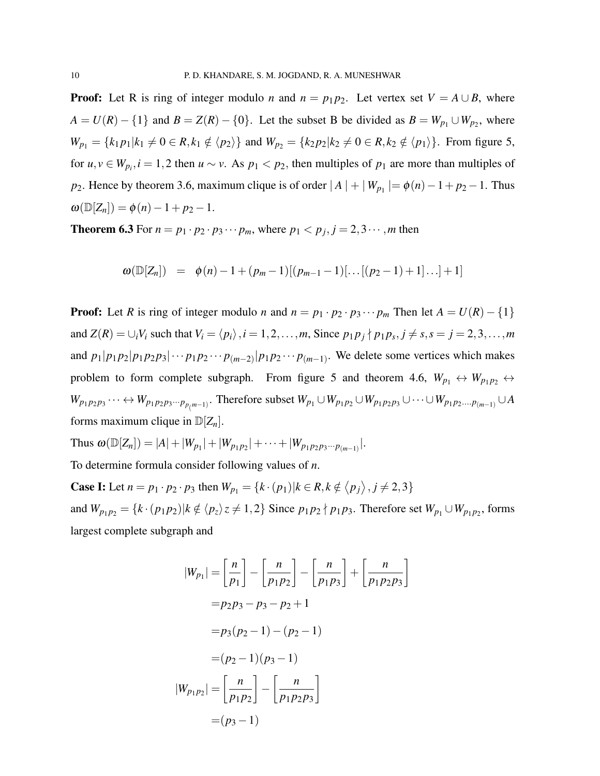**Proof:** Let R is ring of integer modulo *n* and  $n = p_1 p_2$ . Let vertex set  $V = A \cup B$ , where  $A = U(R) - \{1\}$  and  $B = Z(R) - \{0\}$ . Let the subset B be divided as  $B = W_{p_1} \cup W_{p_2}$ , where  $W_{p_1} = \{k_1 p_1 | k_1 \neq 0 \in R, k_1 \notin \langle p_2 \rangle\}$  and  $W_{p_2} = \{k_2 p_2 | k_2 \neq 0 \in R, k_2 \notin \langle p_1 \rangle\}$ . From figure 5, for  $u, v \in W_{p_i}, i = 1, 2$  then  $u \sim v$ . As  $p_1 < p_2$ , then multiples of  $p_1$  are more than multiples of *p*<sub>2</sub>. Hence by theorem 3.6, maximum clique is of order  $|A| + |W_{p_1}| = \phi(n) - 1 + p_2 - 1$ . Thus  $\omega(\mathbb{D}[Z_n]) = \phi(n) - 1 + p_2 - 1.$ 

**Theorem 6.3** For  $n = p_1 \cdot p_2 \cdot p_3 \cdots p_m$ , where  $p_1 < p_j$ ,  $j = 2, 3 \cdots$ , *m* then

$$
\omega(\mathbb{D}[Z_n]) = \phi(n) - 1 + (p_m - 1)[(p_{m-1} - 1)[\dots[(p_2 - 1) + 1]\dots] + 1]
$$

**Proof:** Let *R* is ring of integer modulo *n* and  $n = p_1 \cdot p_2 \cdot p_3 \cdots p_m$  Then let  $A = U(R) - \{1\}$ and  $Z(R) = \bigcup_i V_i$  such that  $V_i = \langle p_i \rangle$ ,  $i = 1, 2, ..., m$ , Since  $p_1 p_j \nmid p_1 p_s$ ,  $j \neq s$ ,  $s = j = 2, 3, ..., m$ and  $p_1|p_1p_2|p_1p_2p_3|\cdots p_1p_2\cdots p_{(m-2)}|p_1p_2\cdots p_{(m-1)}$ . We delete some vertices which makes problem to form complete subgraph. From figure 5 and theorem 4.6,  $W_{p_1} \leftrightarrow W_{p_1p_2} \leftrightarrow$  $W_{p_1p_2p_3}\cdots \leftrightarrow W_{p_1p_2p_3\cdots p_{p(m-1)}}$ . Therefore subset  $W_{p_1}\cup W_{p_1p_2}\cup W_{p_1p_2p_3}\cup \cdots \cup W_{p_1p_2\ldots p_{(m-1)}}\cup A$ forms maximum clique in  $\mathbb{D}[Z_n]$ .

Thus 
$$
\omega(\mathbb{D}[Z_n]) = |A| + |W_{p_1}| + |W_{p_1p_2}| + \cdots + |W_{p_1p_2p_3\cdots p_{(m-1)}}|
$$
.

To determine formula consider following values of *n*.

**Case I:** Let  $n = p_1 \cdot p_2 \cdot p_3$  then  $W_{p_1} = \{k \cdot (p_1) | k \in R, k \notin \langle p_j \rangle, j \neq 2, 3\}$ and  $W_{p_1p_2} = \{k \cdot (p_1p_2) | k \notin \langle p_z \rangle z \neq 1, 2\}$  Since  $p_1p_2 \nmid p_1p_3$ . Therefore set  $W_{p_1} \cup W_{p_1p_2}$ , forms largest complete subgraph and

$$
|W_{p_1}| = \left[\frac{n}{p_1}\right] - \left[\frac{n}{p_1p_2}\right] - \left[\frac{n}{p_1p_3}\right] + \left[\frac{n}{p_1p_2p_3}\right]
$$
  

$$
= p_2p_3 - p_3 - p_2 + 1
$$
  

$$
= p_3(p_2 - 1) - (p_2 - 1)
$$
  

$$
= (p_2 - 1)(p_3 - 1)
$$
  

$$
|W_{p_1p_2}| = \left[\frac{n}{p_1p_2}\right] - \left[\frac{n}{p_1p_2p_3}\right]
$$
  

$$
= (p_3 - 1)
$$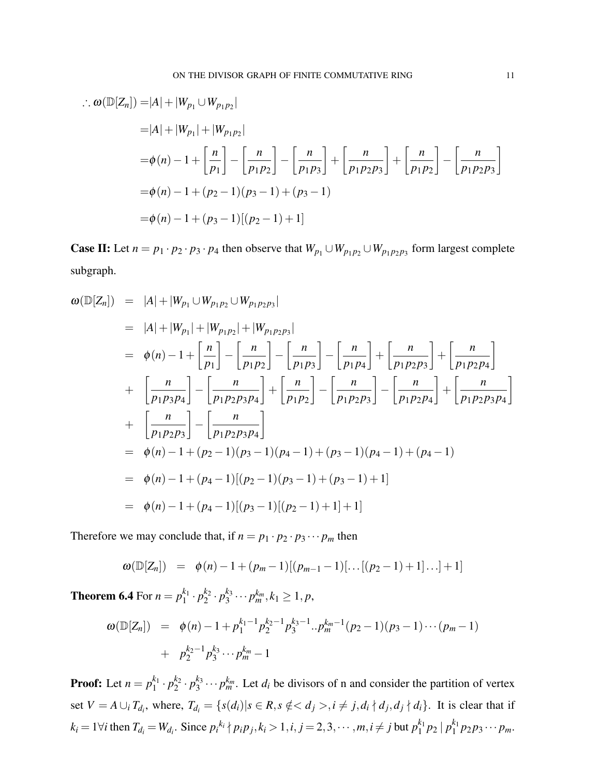$$
\therefore \omega(\mathbb{D}[Z_n]) = |A| + |W_{p_1} \cup W_{p_1 p_2}|
$$
  
\n
$$
= |A| + |W_{p_1}| + |W_{p_1 p_2}|
$$
  
\n
$$
= \phi(n) - 1 + \left[\frac{n}{p_1}\right] - \left[\frac{n}{p_1 p_2}\right] - \left[\frac{n}{p_1 p_3}\right] + \left[\frac{n}{p_1 p_2 p_3}\right] + \left[\frac{n}{p_1 p_2}\right] - \left[\frac{n}{p_1 p_2 p_3}\right]
$$
  
\n
$$
= \phi(n) - 1 + (p_2 - 1)(p_3 - 1) + (p_3 - 1)
$$
  
\n
$$
= \phi(n) - 1 + (p_3 - 1)[(p_2 - 1) + 1]
$$

Case II: Let  $n = p_1 \cdot p_2 \cdot p_3 \cdot p_4$  then observe that  $W_{p_1} \cup W_{p_1p_2} \cup W_{p_1p_2p_3}$  form largest complete subgraph.

$$
\omega(\mathbb{D}[Z_n]) = |A| + |W_{p_1} \cup W_{p_1 p_2} \cup W_{p_1 p_2 p_3}|
$$
  
\n
$$
= |A| + |W_{p_1}| + |W_{p_1 p_2}| + |W_{p_1 p_2 p_3}|
$$
  
\n
$$
= \phi(n) - 1 + \left[\frac{n}{p_1}\right] - \left[\frac{n}{p_1 p_2}\right] - \left[\frac{n}{p_1 p_3}\right] - \left[\frac{n}{p_1 p_4}\right] + \left[\frac{n}{p_1 p_2 p_3}\right] + \left[\frac{n}{p_1 p_2 p_4}\right]
$$
  
\n
$$
+ \left[\frac{n}{p_1 p_3 p_4}\right] - \left[\frac{n}{p_1 p_2 p_3 p_4}\right] + \left[\frac{n}{p_1 p_2}\right] - \left[\frac{n}{p_1 p_2 p_3}\right] - \left[\frac{n}{p_1 p_2 p_4}\right] + \left[\frac{n}{p_1 p_2 p_3 p_4}\right]
$$
  
\n
$$
+ \left[\frac{n}{p_1 p_2 p_3}\right] - \left[\frac{n}{p_1 p_2 p_3 p_4}\right]
$$
  
\n
$$
= \phi(n) - 1 + (p_2 - 1)(p_3 - 1)(p_4 - 1) + (p_3 - 1)(p_4 - 1) + (p_4 - 1)
$$
  
\n
$$
= \phi(n) - 1 + (p_4 - 1)[(p_2 - 1)(p_3 - 1) + (p_3 - 1) + 1]
$$
  
\n
$$
= \phi(n) - 1 + (p_4 - 1)[(p_3 - 1)[(p_2 - 1) + 1] + 1]
$$

Therefore we may conclude that, if  $n = p_1 \cdot p_2 \cdot p_3 \cdots p_m$  then

$$
\omega(\mathbb{D}[Z_n]) = \phi(n) - 1 + (p_m - 1)[(p_{m-1} - 1)[...[(p_2 - 1) + 1]...] + 1]
$$

**Theorem 6.4** For  $n = p_1^{k_1}$  $i_1^{k_1} \cdot p_2^{k_2}$  $\frac{k_2}{2} \cdot p_3^{k_3}$  $p_3^{k_3} \cdots p_m^{k_m}, k_1 \geq 1, p$ 

$$
\omega(\mathbb{D}[Z_n]) = \phi(n) - 1 + p_1^{k_1 - 1} p_2^{k_2 - 1} p_3^{k_3 - 1} \dots p_m^{k_m - 1} (p_2 - 1)(p_3 - 1) \dots (p_m - 1) + p_2^{k_2 - 1} p_3^{k_3} \dots p_m^{k_m} - 1
$$

**Proof:** Let  $n = p_1^{k_1}$  $i_1^{k_1} \cdot p_2^{k_2}$  $a_2^{k_2} \cdot p_3^{k_3}$  $a_3^{k_3} \cdots p_m^{k_m}$ . Let  $d_i$  be divisors of n and consider the partition of vertex set  $V = A \cup_i T_{d_i}$ , where,  $T_{d_i} = \{s(d_i) | s \in R, s \notin , i \neq j, d_i \nmid d_j, d_j \nmid d_i\}$ . It is clear that if  $k_i = 1 \forall i$  then  $T_{d_i} = W_{d_i}$ . Since  $p_i^{k_i} \nmid p_i p_j, k_i > 1, i, j = 2, 3, \dots, m, i \neq j$  but  $p_1^{k_1}$  $\binom{k_1}{1} p_2 \mid p_1^{k_1}$  ${}_{1}^{k_{1}}p_{2}p_{3}\cdots p_{m}$ .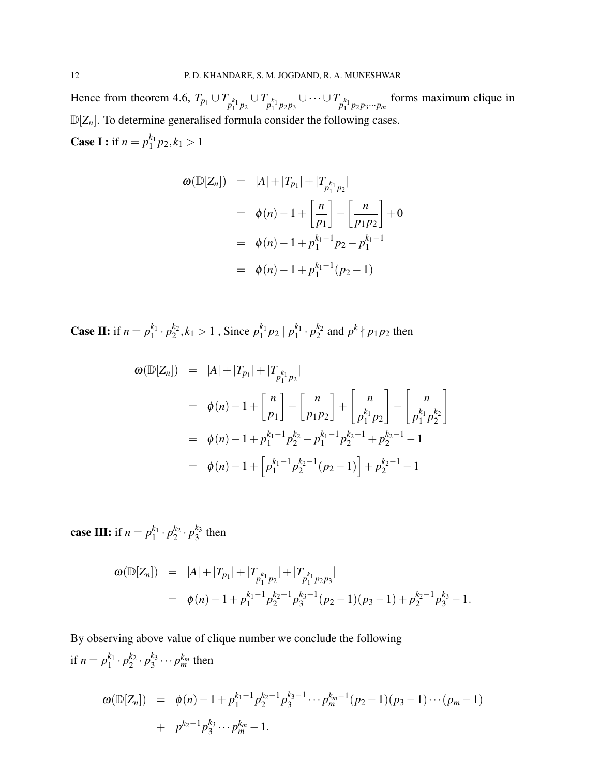Hence from theorem 4.6,  $T_{p_1} \cup T_{p_1^{k_1}p_2} \cup T_{p_1^{k_1}p_2p_3} \cup \cdots \cup T_{p_1^{k_1}p_2p_3\cdots p_m}$  forms maximum clique in  $\mathbb{D}[Z_n]$ . To determine generalised formula consider the following cases. **Case I :** if  $n = p_1^{k_1}$  $n_1^{k_1} p_2, k_1 > 1$ 

$$
\omega(\mathbb{D}[Z_n]) = |A| + |T_{p_1}| + |T_{p_1^{k_1}p_2}|
$$
  
=  $\phi(n) - 1 + \left[\frac{n}{p_1}\right] - \left[\frac{n}{p_1p_2}\right] + 0$   
=  $\phi(n) - 1 + p_1^{k_1-1}p_2 - p_1^{k_1-1}$   
=  $\phi(n) - 1 + p_1^{k_1-1}(p_2 - 1)$ 

**Case II:** if  $n = p_1^{k_1}$  $i_1^{k_1} \cdot p_2^{k_2}$  $k_2^k, k_1 > 1$ , Since  $p_1^{k_1}$  $\binom{k_1}{1} p_2 \mid p_1^{k_1}$  ${}_{1}^{k_1} \cdot p_2^{k_2}$  $b_2^{k_2}$  and  $p^k \nmid p_1 p_2$  then

$$
\omega(\mathbb{D}[Z_n]) = |A| + |T_{p_1}| + |T_{p_1^{k_1}p_2}|
$$
  
\n
$$
= \phi(n) - 1 + \left[\frac{n}{p_1}\right] - \left[\frac{n}{p_1p_2}\right] + \left[\frac{n}{p_1^{k_1}p_2}\right] - \left[\frac{n}{p_1^{k_1}p_2^{k_2}}\right]
$$
  
\n
$$
= \phi(n) - 1 + p_1^{k_1-1}p_2^{k_2} - p_1^{k_1-1}p_2^{k_2-1} + p_2^{k_2-1} - 1
$$
  
\n
$$
= \phi(n) - 1 + \left[p_1^{k_1-1}p_2^{k_2-1}(p_2-1)\right] + p_2^{k_2-1} - 1
$$

**case III:** if  $n = p_1^{k_1}$  $i_1^{k_1} \cdot p_2^{k_2}$  $a_2^{k_2} \cdot p_3^{k_3}$  $\frac{k_3}{3}$  then

$$
\begin{array}{lcl} \omega(\mathbb{D}[Z_n]) & = & |A| + |T_{p_1}| + |T_{p_1^{k_1}p_2}| + |T_{p_1^{k_1}p_2p_3}| \\ & = & \phi(n) - 1 + p_1^{k_1 - 1} p_2^{k_2 - 1} p_3^{k_3 - 1}(p_2 - 1)(p_3 - 1) + p_2^{k_2 - 1} p_3^{k_3} - 1. \end{array}
$$

By observing above value of clique number we conclude the following if  $n = p_1^{k_1}$  $i_1^{k_1} \cdot p_2^{k_2}$  $a_2^{k_2} \cdot p_3^{k_3}$  $a_3^{k_3} \cdots p_m^{k_m}$  then

$$
\omega(\mathbb{D}[Z_n]) = \phi(n) - 1 + p_1^{k_1-1} p_2^{k_2-1} p_3^{k_3-1} \cdots p_m^{k_m-1} (p_2 - 1)(p_3 - 1) \cdots (p_m - 1) + p^{k_2-1} p_3^{k_3} \cdots p_m^{k_m} - 1.
$$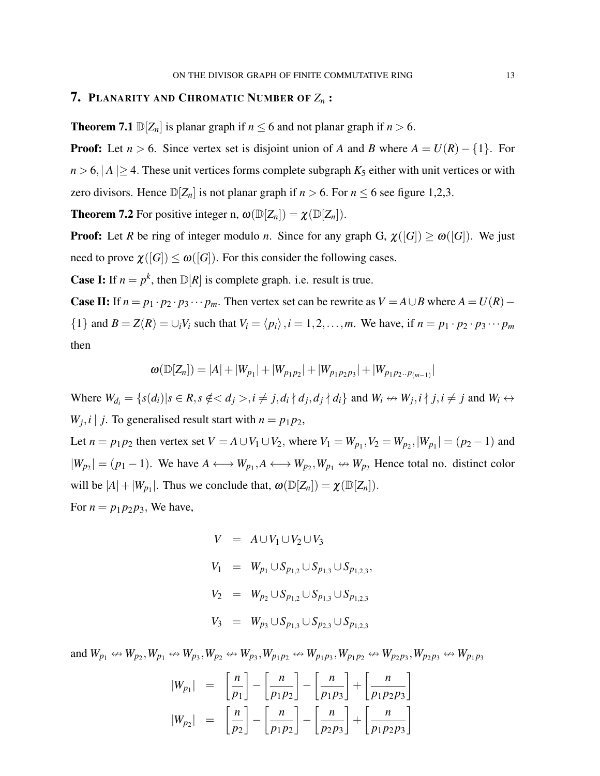#### 7. PLANARITY AND CHROMATIC NUMBER OF *Z<sup>n</sup>* :

**Theorem 7.1**  $\mathbb{D}[Z_n]$  is planar graph if  $n \leq 6$  and not planar graph if  $n > 6$ .

**Proof:** Let  $n > 6$ . Since vertex set is disjoint union of *A* and *B* where  $A = U(R) - \{1\}$ . For  $n > 6$ ,  $|A| \ge 4$ . These unit vertices forms complete subgraph  $K_5$  either with unit vertices or with zero divisors. Hence  $\mathbb{D}[Z_n]$  is not planar graph if  $n > 6$ . For  $n \le 6$  see figure 1,2,3.

**Theorem 7.2** For positive integer n,  $\omega(\mathbb{D}[Z_n]) = \chi(\mathbb{D}[Z_n]).$ 

**Proof:** Let *R* be ring of integer modulo *n*. Since for any graph G,  $\chi([G]) \ge \omega([G])$ . We just need to prove  $\chi([G]) \leq \omega([G])$ . For this consider the following cases.

**Case I:** If  $n = p^k$ , then  $\mathbb{D}[R]$  is complete graph. i.e. result is true.

Case II: If  $n = p_1 \cdot p_2 \cdot p_3 \cdots p_m$ . Then vertex set can be rewrite as  $V = A \cup B$  where  $A = U(R) -$ {1} and  $B = Z(R) = \bigcup_i V_i$  such that  $V_i = \langle p_i \rangle$ ,  $i = 1, 2, \dots, m$ . We have, if  $n = p_1 \cdot p_2 \cdot p_3 \cdots p_m$ then

$$
\omega(\mathbb{D}[Z_n]) = |A| + |W_{p_1}| + |W_{p_1p_2}| + |W_{p_1p_2p_3}| + |W_{p_1p_2\ldots p_{(m-1)}}|
$$

Where  $W_{d_i} = \{s(d_i) | s \in R, s \notin , i \neq j, d_i \nmid d_j, d_j \nmid d_i\}$  and  $W_i \leftrightarrow W_j, i \nmid j, i \neq j$  and  $W_i \leftrightarrow W_j$  $W_j$ , *i* | *j*. To generalised result start with  $n = p_1 p_2$ ,

Let  $n = p_1 p_2$  then vertex set  $V = A \cup V_1 \cup V_2$ , where  $V_1 = W_{p_1}, V_2 = W_{p_2}, |W_{p_1}| = (p_2 - 1)$  and  $|W_{p_2}| = (p_1 - 1)$ . We have  $A \longleftrightarrow W_{p_1}, A \longleftrightarrow W_{p_2}, W_{p_1} \leftrightarrow W_{p_2}$  Hence total no. distinct color will be  $|A| + |W_{p_1}|$ . Thus we conclude that,  $\omega(\mathbb{D}[Z_n]) = \chi(\mathbb{D}[Z_n])$ . For  $n = p_1 p_2 p_3$ , We have,

$$
V = A \cup V_1 \cup V_2 \cup V_3
$$
  
\n
$$
V_1 = W_{p_1} \cup S_{p_{1,2}} \cup S_{p_{1,3}} \cup S_{p_{1,2,3}},
$$
  
\n
$$
V_2 = W_{p_2} \cup S_{p_{1,2}} \cup S_{p_{1,3}} \cup S_{p_{1,2,3}}
$$
  
\n
$$
V_3 = W_{p_3} \cup S_{p_{1,3}} \cup S_{p_{2,3}} \cup S_{p_{1,2,3}}
$$

and  $W_{p_1} \leftrightarrow W_{p_2}$ ,  $W_{p_1} \leftrightarrow W_{p_3}$ ,  $W_{p_2} \leftrightarrow W_{p_3}$ ,  $W_{p_1p_2} \leftrightarrow W_{p_1p_3}$ ,  $W_{p_1p_2} \leftrightarrow W_{p_2p_3}$ ,  $W_{p_2p_3} \leftrightarrow W_{p_1p_3}$ 

$$
\begin{array}{rcl}\n|W_{p_1}| & = & \left[\frac{n}{p_1}\right] - \left[\frac{n}{p_1p_2}\right] - \left[\frac{n}{p_1p_3}\right] + \left[\frac{n}{p_1p_2p_3}\right] \\
|W_{p_2}| & = & \left[\frac{n}{p_2}\right] - \left[\frac{n}{p_1p_2}\right] - \left[\frac{n}{p_2p_3}\right] + \left[\frac{n}{p_1p_2p_3}\right]\n\end{array}
$$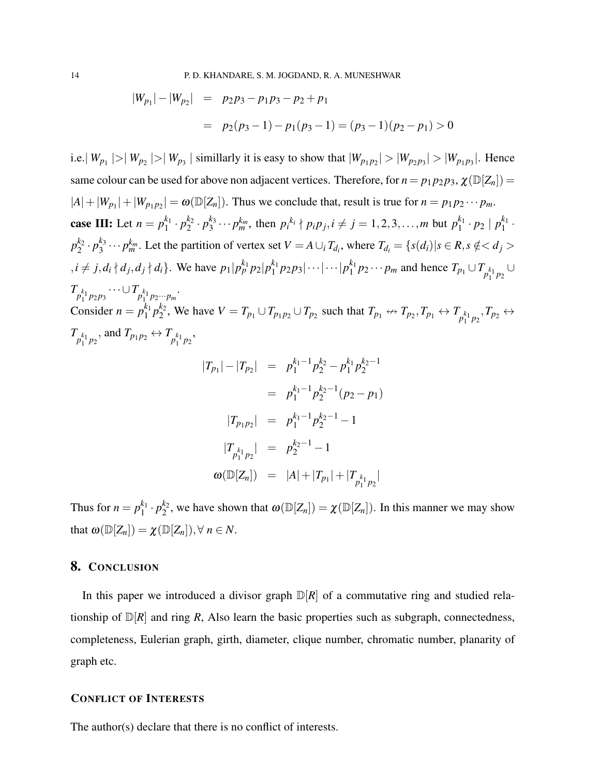$$
|W_{p_1}| - |W_{p_2}| = p_2 p_3 - p_1 p_3 - p_2 + p_1
$$
  
=  $p_2(p_3 - 1) - p_1(p_3 - 1) = (p_3 - 1)(p_2 - p_1) > 0$ 

i.e.  $|W_{p_1}| > |W_{p_2}| > |W_{p_3}|$  simillarly it is easy to show that  $|W_{p_1p_2}| > |W_{p_2p_3}| > |W_{p_1p_3}|$ . Hence same colour can be used for above non adjacent vertices. Therefore, for  $n = p_1 p_2 p_3$ ,  $\chi(\mathbb{D}[Z_n])$  $|A| + |W_{p_1}| + |W_{p_1 p_2}| = \omega(\mathbb{D}[Z_n])$ . Thus we conclude that, result is true for  $n = p_1 p_2 \cdots p_m$ . case III: Let  $n = p_1^{k_1}$  $i_1^{k_1} \cdot p_2^{k_2}$  ${}_{2}^{k_2} \cdot p_3^{k_3}$  $y_3^{k_3} \cdots p_m^{k_m}$ , then  $p_i^{k_i} \nmid p_i p_j, i \neq j = 1, 2, 3, \ldots, m$  but  $p_1^{k_1}$  $\binom{k_1}{1} \cdot p_2 \mid p_1^{k_1}$  $\frac{\kappa_1}{1}$  .  $p_2^{k_2}$  $a_2^{k_2} \cdot p_3^{k_3}$  $a_3^{k_3}\cdots p_m^{k_m}$ . Let the partition of vertex set  $V = A \cup_i T_{d_i}$ , where  $T_{d_i} = \{s(d_i) | s \in R, s \notin d_j > 0\}$  $i, i \neq j, d_i \nmid d_j, d_j \nmid d_i$ . We have  $p_1 | p_p^{k_1} p_2 | p_1^{k_1}$  $\binom{k_1}{1} p_2 p_3 | \cdots | \cdots | p_1^{k_1}$ *k*<sup>1</sup></sup> *p*<sub>2</sub> ⋅ ⋅ *p*<sub>*m*</sub> and hence  $T_{p_1} \cup T_{p_1^{k_1}p_2} \cup$  $T_{p_1^{k_1}p_2p_3}\cdots \cup T_{p_1^{k_1}p_2\cdots p_m}$ . Consider  $n = p_1^{k_1}$  ${}_{1}^{k_1}p_2^{k_2}$  $Z_2^{\ell_2}$ , We have  $V = T_{p_1} \cup T_{p_1p_2} \cup T_{p_2}$  such that  $T_{p_1} \nleftrightarrow T_{p_2}, T_{p_1} \nleftrightarrow T_{p_1^{k_1}p_2}, T_{p_2} \nleftrightarrow$  $T_{p_1}^{k_1} p_2$ , and  $T_{p_1 p_2} \leftrightarrow T_{p_1^{k_1} p_2}$ ,

$$
|T_{p_1}| - |T_{p_2}| = p_1^{k_1 - 1} p_2^{k_2} - p_1^{k_1} p_2^{k_2 - 1}
$$
  

$$
= p_1^{k_1 - 1} p_2^{k_2 - 1} (p_2 - p_1)
$$
  

$$
|T_{p_1 p_2}| = p_1^{k_1 - 1} p_2^{k_2 - 1} - 1
$$
  

$$
|T_{p_1^{k_1} p_2}| = p_2^{k_2 - 1} - 1
$$
  

$$
\omega(\mathbb{D}[Z_n]) = |A| + |T_{p_1}| + |T_{p_1^{k_1} p_2}|
$$

Thus for  $n = p_1^{k_1}$  $i_1^{k_1} \cdot p_2^{k_2}$  $\chi_2^{k_2}$ , we have shown that  $\omega(\mathbb{D}[Z_n]) = \chi(\mathbb{D}[Z_n])$ . In this manner we may show that  $\omega(\mathbb{D}[Z_n]) = \chi(\mathbb{D}[Z_n]), \forall n \in \mathbb{N}.$ 

### 8. CONCLUSION

In this paper we introduced a divisor graph  $\mathbb{D}[R]$  of a commutative ring and studied relationship of  $\mathbb{D}[R]$  and ring R, Also learn the basic properties such as subgraph, connectedness, completeness, Eulerian graph, girth, diameter, clique number, chromatic number, planarity of graph etc.

### CONFLICT OF INTERESTS

The author(s) declare that there is no conflict of interests.